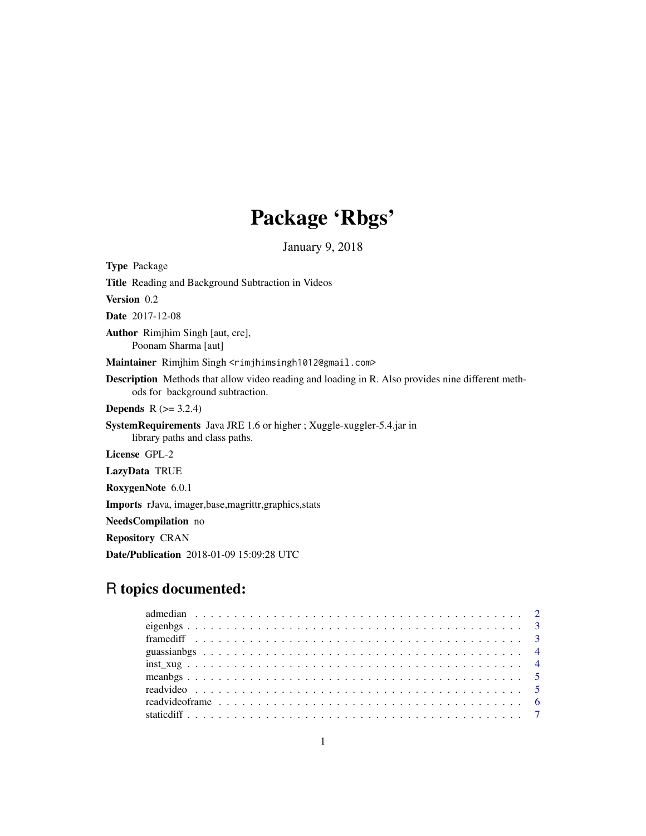## Package 'Rbgs'

January 9, 2018

| <b>Type Package</b>                                                                                                                         |
|---------------------------------------------------------------------------------------------------------------------------------------------|
| <b>Title</b> Reading and Background Subtraction in Videos                                                                                   |
| <b>Version</b> 0.2                                                                                                                          |
| <b>Date</b> 2017-12-08                                                                                                                      |
| <b>Author</b> Riminim Singh [aut, cre],<br>Poonam Sharma [aut]                                                                              |
| Maintainer Rimjhim Singh <rimjhimsingh1012@gmail.com></rimjhimsingh1012@gmail.com>                                                          |
| <b>Description</b> Methods that allow video reading and loading in R. Also provides nine different meth-<br>ods for background subtraction. |
| <b>Depends</b> $R (= 3.2.4)$                                                                                                                |
| SystemRequirements Java JRE 1.6 or higher ; Xuggle-xuggler-5.4.jar in<br>library paths and class paths.                                     |
| License GPL-2                                                                                                                               |
| LazyData TRUE                                                                                                                               |
| RoxygenNote 6.0.1                                                                                                                           |
| <b>Imports</b> rJava, imager, base, magrittr, graphics, stats                                                                               |
|                                                                                                                                             |

NeedsCompilation no

Repository CRAN

Date/Publication 2018-01-09 15:09:28 UTC

### R topics documented: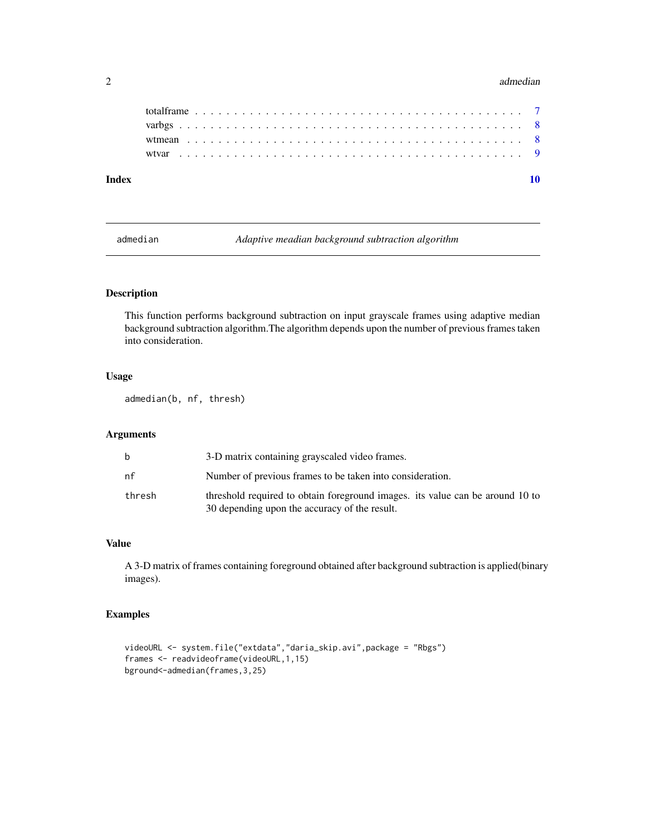#### 2 admediant contract of the contract of the contract of the contract of the contract of the contract of the contract of the contract of the contract of the contract of the contract of the contract of the contract of the co

| Index |  |  |  |  |  |  |  |  |  |  |  |  |  |  |  |  |  |  |  |  |  |
|-------|--|--|--|--|--|--|--|--|--|--|--|--|--|--|--|--|--|--|--|--|--|

admedian *Adaptive meadian background subtraction algorithm*

#### Description

This function performs background subtraction on input grayscale frames using adaptive median background subtraction algorithm.The algorithm depends upon the number of previous frames taken into consideration.

#### Usage

admedian(b, nf, thresh)

#### Arguments

| b      | 3-D matrix containing grayscaled video frames.                                                                                 |
|--------|--------------------------------------------------------------------------------------------------------------------------------|
| nf     | Number of previous frames to be taken into consideration.                                                                      |
| thresh | threshold required to obtain foreground images, its value can be around 10 to<br>30 depending upon the accuracy of the result. |

#### Value

A 3-D matrix of frames containing foreground obtained after background subtraction is applied(binary images).

#### Examples

```
videoURL <- system.file("extdata","daria_skip.avi",package = "Rbgs")
frames <- readvideoframe(videoURL,1,15)
bground<-admedian(frames,3,25)
```
<span id="page-1-0"></span>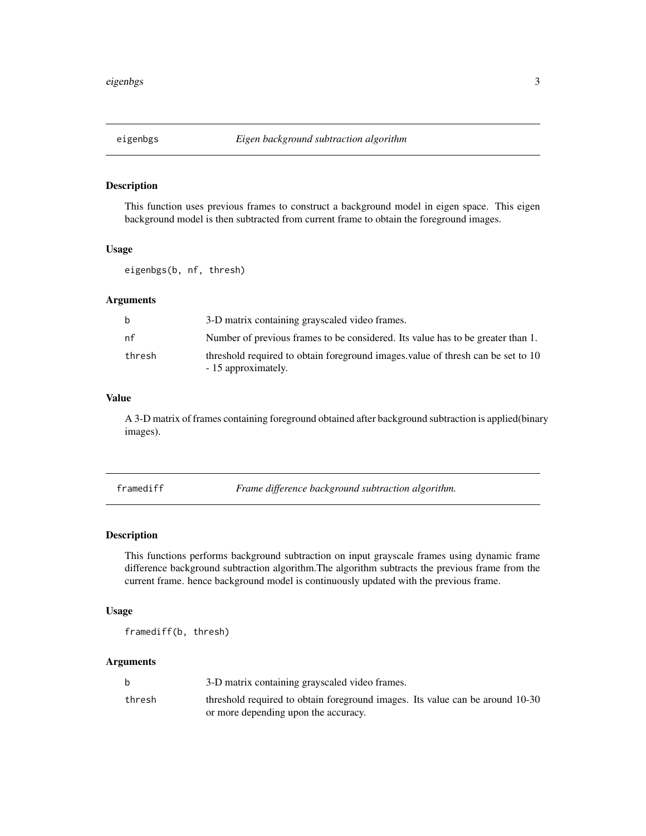<span id="page-2-0"></span>

#### Description

This function uses previous frames to construct a background model in eigen space. This eigen background model is then subtracted from current frame to obtain the foreground images.

#### Usage

eigenbgs(b, nf, thresh)

#### Arguments

| b      | 3-D matrix containing grayscaled video frames.                                                         |
|--------|--------------------------------------------------------------------------------------------------------|
| nf     | Number of previous frames to be considered. Its value has to be greater than 1.                        |
| thresh | threshold required to obtain foreground images value of thresh can be set to 10<br>- 15 approximately. |

#### Value

A 3-D matrix of frames containing foreground obtained after background subtraction is applied(binary images).

framediff *Frame difference background subtraction algorithm.*

#### Description

This functions performs background subtraction on input grayscale frames using dynamic frame difference background subtraction algorithm.The algorithm subtracts the previous frame from the current frame. hence background model is continuously updated with the previous frame.

#### Usage

framediff(b, thresh)

#### Arguments

|        | 3-D matrix containing grayscaled video frames.                                |
|--------|-------------------------------------------------------------------------------|
| thresh | threshold required to obtain foreground images. Its value can be around 10-30 |
|        | or more depending upon the accuracy.                                          |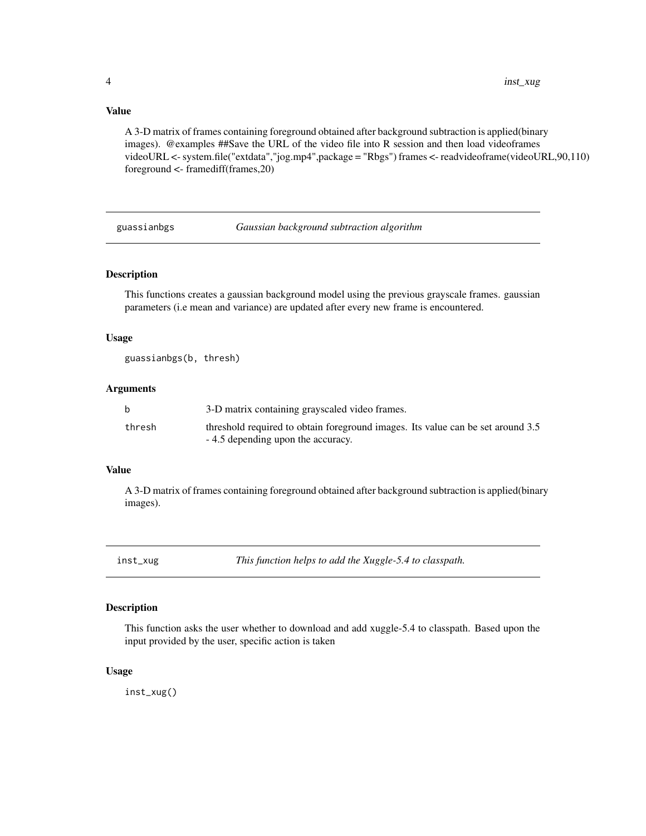#### <span id="page-3-0"></span>Value

A 3-D matrix of frames containing foreground obtained after background subtraction is applied(binary images). @examples ##Save the URL of the video file into R session and then load videoframes videoURL <- system.file("extdata","jog.mp4",package = "Rbgs") frames <- readvideoframe(videoURL,90,110) foreground <- framediff(frames,20)

guassianbgs *Gaussian background subtraction algorithm*

#### Description

This functions creates a gaussian background model using the previous grayscale frames. gaussian parameters (i.e mean and variance) are updated after every new frame is encountered.

#### Usage

guassianbgs(b, thresh)

#### Arguments

|        | 3-D matrix containing grayscaled video frames.                                  |
|--------|---------------------------------------------------------------------------------|
| thresh | threshold required to obtain foreground images. Its value can be set around 3.5 |
|        | - 4.5 depending upon the accuracy.                                              |

#### Value

A 3-D matrix of frames containing foreground obtained after background subtraction is applied(binary images).

inst\_xug *This function helps to add the Xuggle-5.4 to classpath.*

#### Description

This function asks the user whether to download and add xuggle-5.4 to classpath. Based upon the input provided by the user, specific action is taken

#### Usage

inst\_xug()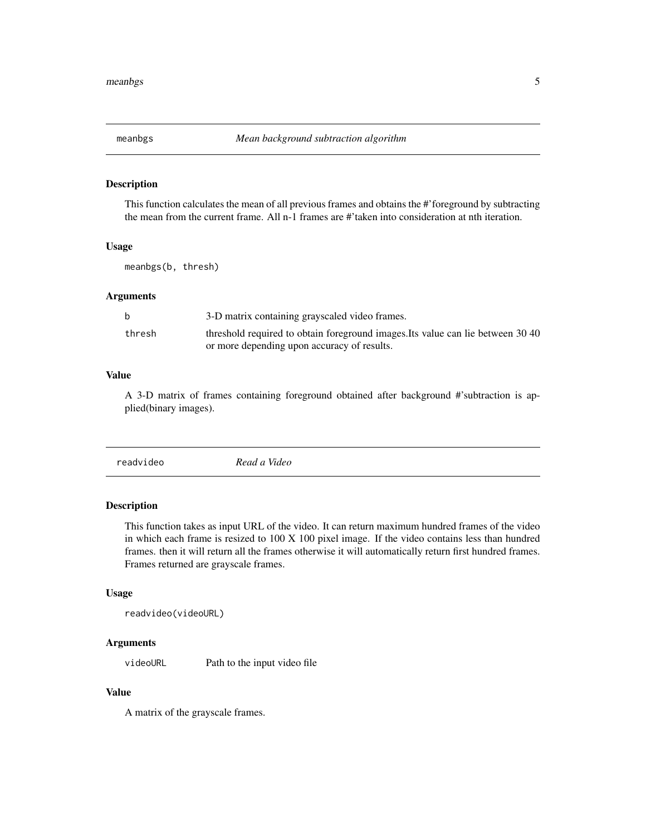<span id="page-4-0"></span>

#### Description

This function calculates the mean of all previous frames and obtains the #'foreground by subtracting the mean from the current frame. All n-1 frames are #'taken into consideration at nth iteration.

#### Usage

meanbgs(b, thresh)

#### Arguments

|        | 3-D matrix containing grayscaled video frames.                                  |
|--------|---------------------------------------------------------------------------------|
| thresh | threshold required to obtain foreground images. Its value can lie between 30 40 |
|        | or more depending upon accuracy of results.                                     |

#### Value

A 3-D matrix of frames containing foreground obtained after background #'subtraction is applied(binary images).

| readvideo<br>Read a Video |
|---------------------------|
|                           |

#### Description

This function takes as input URL of the video. It can return maximum hundred frames of the video in which each frame is resized to 100 X 100 pixel image. If the video contains less than hundred frames. then it will return all the frames otherwise it will automatically return first hundred frames. Frames returned are grayscale frames.

#### Usage

```
readvideo(videoURL)
```
#### Arguments

videoURL Path to the input video file

#### Value

A matrix of the grayscale frames.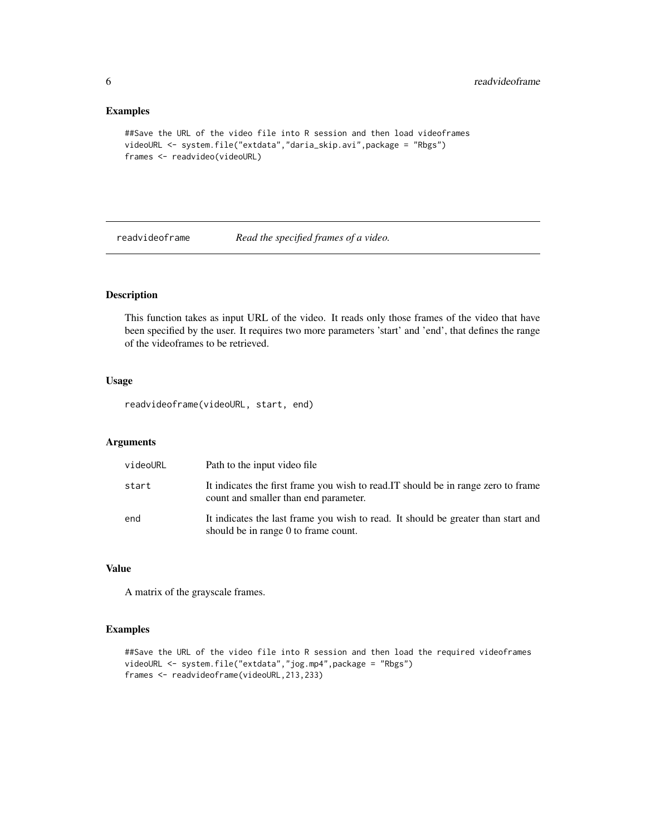#### <span id="page-5-0"></span>Examples

```
##Save the URL of the video file into R session and then load videoframes
videoURL <- system.file("extdata","daria_skip.avi",package = "Rbgs")
frames <- readvideo(videoURL)
```
#### readvideoframe *Read the specified frames of a video.*

#### Description

This function takes as input URL of the video. It reads only those frames of the video that have been specified by the user. It requires two more parameters 'start' and 'end', that defines the range of the videoframes to be retrieved.

#### Usage

readvideoframe(videoURL, start, end)

#### Arguments

| videoURL | Path to the input video file                                                                                                |
|----------|-----------------------------------------------------------------------------------------------------------------------------|
| start    | It indicates the first frame you wish to read. IT should be in range zero to frame<br>count and smaller than end parameter. |
| end      | It indicates the last frame you wish to read. It should be greater than start and<br>should be in range 0 to frame count.   |

#### Value

A matrix of the grayscale frames.

#### Examples

```
##Save the URL of the video file into R session and then load the required videoframes
videoURL <- system.file("extdata","jog.mp4",package = "Rbgs")
frames <- readvideoframe(videoURL,213,233)
```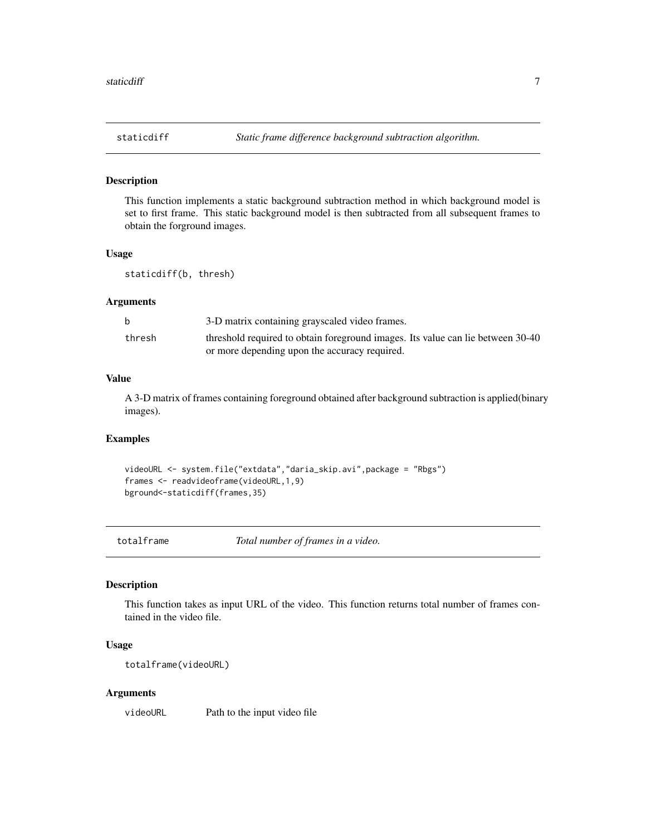<span id="page-6-0"></span>

#### Description

This function implements a static background subtraction method in which background model is set to first frame. This static background model is then subtracted from all subsequent frames to obtain the forground images.

#### Usage

staticdiff(b, thresh)

#### Arguments

|        | 3-D matrix containing grayscaled video frames.                                  |
|--------|---------------------------------------------------------------------------------|
| thresh | threshold required to obtain foreground images. Its value can lie between 30-40 |
|        | or more depending upon the accuracy required.                                   |

#### Value

A 3-D matrix of frames containing foreground obtained after background subtraction is applied(binary images).

#### Examples

```
videoURL <- system.file("extdata","daria_skip.avi",package = "Rbgs")
frames <- readvideoframe(videoURL,1,9)
bground<-staticdiff(frames,35)
```
totalframe *Total number of frames in a video.*

#### Description

This function takes as input URL of the video. This function returns total number of frames contained in the video file.

#### Usage

totalframe(videoURL)

#### Arguments

videoURL Path to the input video file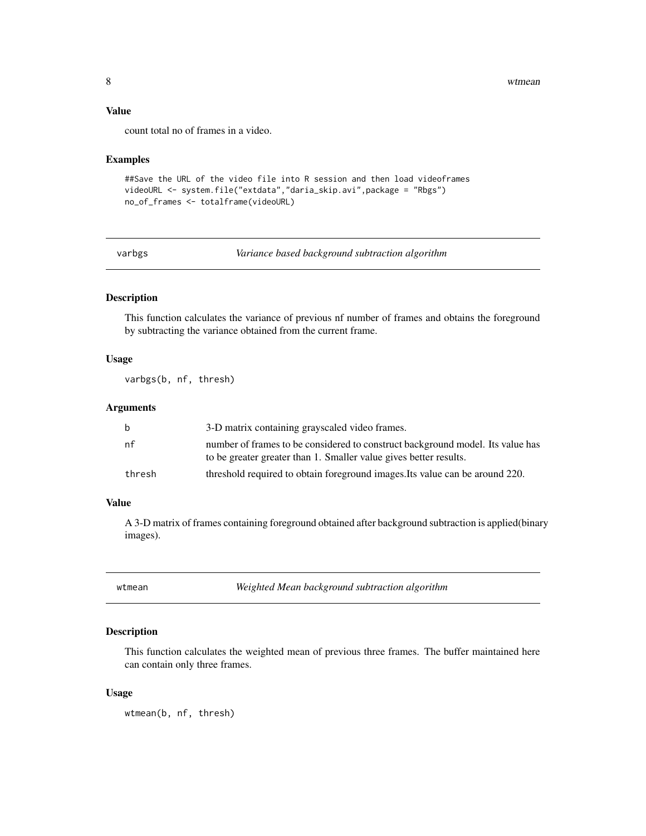8 wtmean with the set of the set of the set of the set of the set of the set of the set of the set of the set of the set of the set of the set of the set of the set of the set of the set of the set of the set of the set of

#### Value

count total no of frames in a video.

#### Examples

```
##Save the URL of the video file into R session and then load videoframes
videoURL <- system.file("extdata","daria_skip.avi",package = "Rbgs")
no_of_frames <- totalframe(videoURL)
```
varbgs *Variance based background subtraction algorithm*

#### Description

This function calculates the variance of previous nf number of frames and obtains the foreground by subtracting the variance obtained from the current frame.

#### Usage

varbgs(b, nf, thresh)

#### Arguments

| b      | 3-D matrix containing grayscaled video frames.                                                                                                      |
|--------|-----------------------------------------------------------------------------------------------------------------------------------------------------|
| nf     | number of frames to be considered to construct background model. Its value has<br>to be greater greater than 1. Smaller value gives better results. |
| thresh | threshold required to obtain foreground images. Its value can be around 220.                                                                        |

#### Value

A 3-D matrix of frames containing foreground obtained after background subtraction is applied(binary images).

wtmean *Weighted Mean background subtraction algorithm*

#### Description

This function calculates the weighted mean of previous three frames. The buffer maintained here can contain only three frames.

#### Usage

wtmean(b, nf, thresh)

<span id="page-7-0"></span>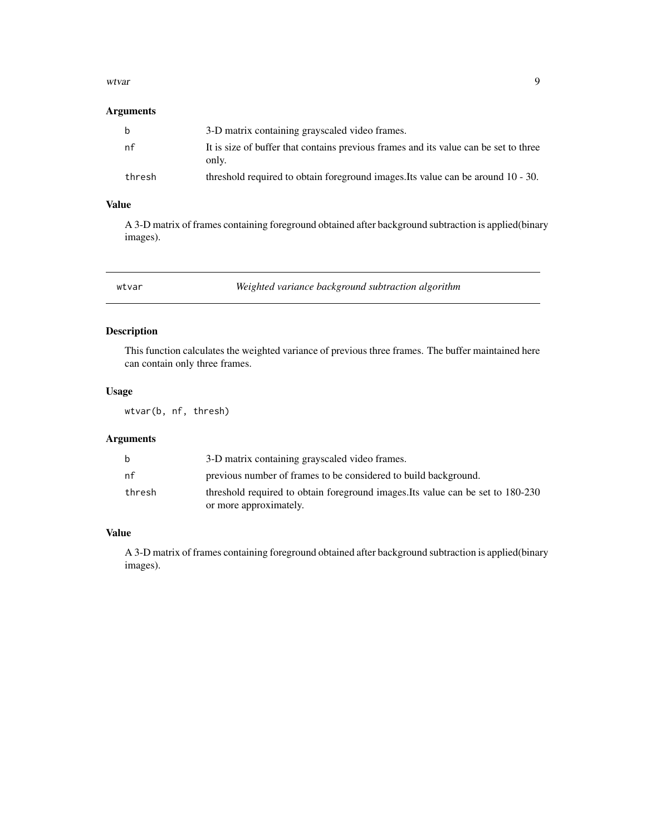#### <span id="page-8-0"></span>wtvar 9

#### Arguments

| b      | 3-D matrix containing grayscaled video frames.                                                |
|--------|-----------------------------------------------------------------------------------------------|
| nf     | It is size of buffer that contains previous frames and its value can be set to three<br>only. |
| thresh | threshold required to obtain foreground images. Its value can be around 10 - 30.              |

#### Value

A 3-D matrix of frames containing foreground obtained after background subtraction is applied(binary images).

wtvar *Weighted variance background subtraction algorithm*

### Description

This function calculates the weighted variance of previous three frames. The buffer maintained here can contain only three frames.

#### Usage

wtvar(b, nf, thresh)

#### Arguments

| b      | 3-D matrix containing grayscaled video frames.                                  |
|--------|---------------------------------------------------------------------------------|
| nf     | previous number of frames to be considered to build background.                 |
| thresh | threshold required to obtain foreground images. Its value can be set to 180-230 |
|        | or more approximately.                                                          |

#### Value

A 3-D matrix of frames containing foreground obtained after background subtraction is applied(binary images).